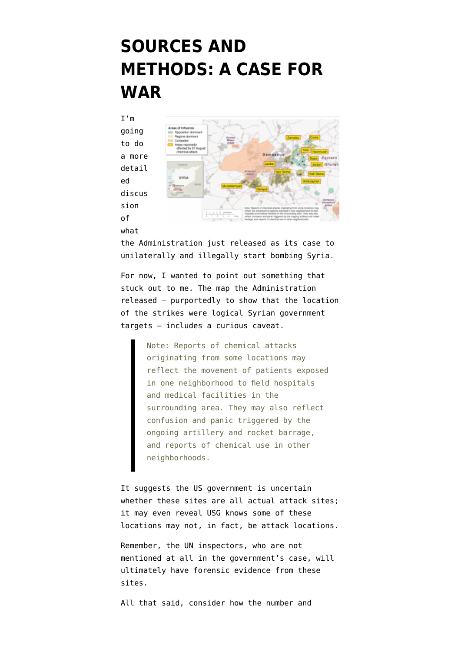## **[SOURCES AND](https://www.emptywheel.net/2013/08/30/sources-and-methods-a-case-for-war/) [METHODS: A CASE FOR](https://www.emptywheel.net/2013/08/30/sources-and-methods-a-case-for-war/) [WAR](https://www.emptywheel.net/2013/08/30/sources-and-methods-a-case-for-war/)**

I'm going to do a more detail ed discus sion of

what



the Administration [just released](http://www.whitehouse.gov/the-press-office/2013/08/30/government-assessment-syrian-government-s-use-chemical-weapons-august-21) as its case to unilaterally and illegally start bombing Syria.

For now, I wanted to point out something that stuck out to me. [The map](http://www.whitehouse.gov/sites/default/files/docs/2013-08-30_map_accompanying_usg_assessment_on_syria.pdf) the Administration released — purportedly to show that the location of the strikes were logical Syrian government targets — includes a curious caveat.

> Note: Reports of chemical attacks originating from some locations may reflect the movement of patients exposed in one neighborhood to field hospitals and medical facilities in the surrounding area. They may also reflect confusion and panic triggered by the ongoing artillery and rocket barrage, and reports of chemical use in other neighborhoods.

It suggests the US government is uncertain whether these sites are all actual attack sites; it may even reveal USG knows some of these locations may not, in fact, be attack locations.

Remember, the UN inspectors, who are not mentioned at all in the government's case, will ultimately have forensic evidence from these sites.

All that said, consider how the number and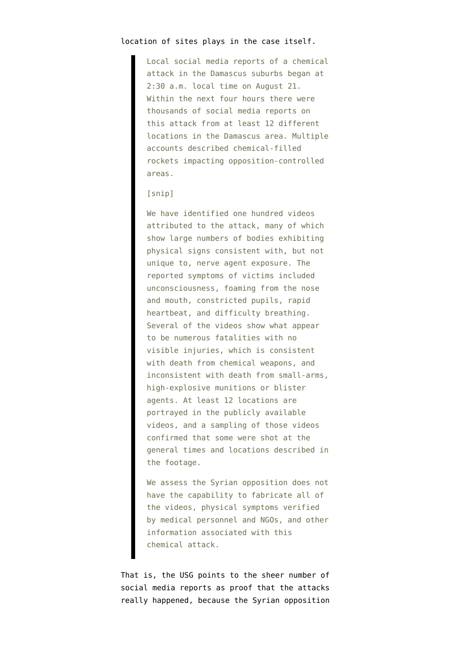## location of sites plays in the case itself.

Local social media reports of a chemical attack in the Damascus suburbs began at 2:30 a.m. local time on August 21. Within the next four hours there were thousands of social media reports on this attack from at least 12 different locations in the Damascus area. Multiple accounts described chemical-filled rockets impacting opposition-controlled areas.

## [snip]

We have identified one hundred videos attributed to the attack, many of which show large numbers of bodies exhibiting physical signs consistent with, but not unique to, nerve agent exposure. The reported symptoms of victims included unconsciousness, foaming from the nose and mouth, constricted pupils, rapid heartbeat, and difficulty breathing. Several of the videos show what appear to be numerous fatalities with no visible injuries, which is consistent with death from chemical weapons, and inconsistent with death from small-arms, high-explosive munitions or blister agents. At least 12 locations are portrayed in the publicly available videos, and a sampling of those videos confirmed that some were shot at the general times and locations described in the footage.

We assess the Syrian opposition does not have the capability to fabricate all of the videos, physical symptoms verified by medical personnel and NGOs, and other information associated with this chemical attack.

That is, the USG points to the sheer number of social media reports as proof that the attacks really happened, because the Syrian opposition